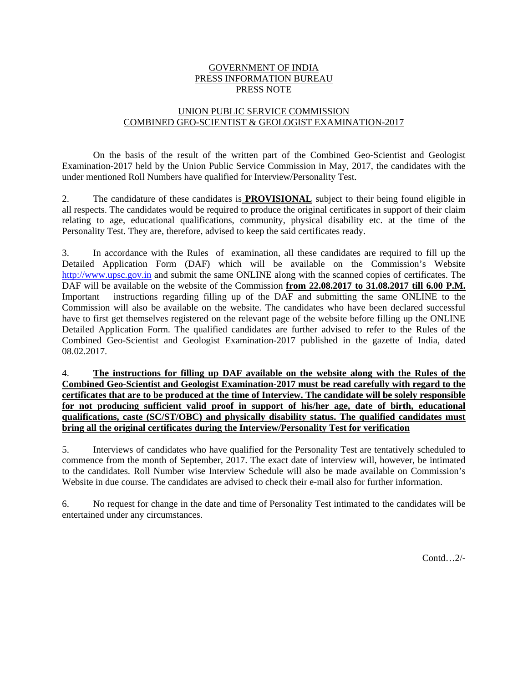#### GOVERNMENT OF INDIA PRESS INFORMATION BUREAU PRESS NOTE

# UNION PUBLIC SERVICE COMMISSION COMBINED GEO-SCIENTIST & GEOLOGIST EXAMINATION-2017

 On the basis of the result of the written part of the Combined Geo-Scientist and Geologist Examination-2017 held by the Union Public Service Commission in May, 2017, the candidates with the under mentioned Roll Numbers have qualified for Interview/Personality Test.

2. The candidature of these candidates is **PROVISIONAL** subject to their being found eligible in all respects. The candidates would be required to produce the original certificates in support of their claim relating to age, educational qualifications, community, physical disability etc. at the time of the Personality Test. They are, therefore, advised to keep the said certificates ready.

3. In accordance with the Rules of examination, all these candidates are required to fill up the Detailed Application Form (DAF) which will be available on the Commission's Website http://www.upsc.gov.in and submit the same ONLINE along with the scanned copies of certificates. The DAF will be available on the website of the Commission **from 22.08.2017 to 31.08.2017 till 6.00 P.M.** Important instructions regarding filling up of the DAF and submitting the same ONLINE to the Commission will also be available on the website. The candidates who have been declared successful have to first get themselves registered on the relevant page of the website before filling up the ONLINE Detailed Application Form. The qualified candidates are further advised to refer to the Rules of the Combined Geo-Scientist and Geologist Examination-2017 published in the gazette of India, dated 08.02.2017.

4. **The instructions for filling up DAF available on the website along with the Rules of the Combined Geo-Scientist and Geologist Examination-2017 must be read carefully with regard to the certificates that are to be produced at the time of Interview. The candidate will be solely responsible for not producing sufficient valid proof in support of his/her age, date of birth, educational qualifications, caste (SC/ST/OBC) and physically disability status. The qualified candidates must bring all the original certificates during the Interview/Personality Test for verification**

5. Interviews of candidates who have qualified for the Personality Test are tentatively scheduled to commence from the month of September, 2017. The exact date of interview will, however, be intimated to the candidates. Roll Number wise Interview Schedule will also be made available on Commission's Website in due course. The candidates are advised to check their e-mail also for further information.

6. No request for change in the date and time of Personality Test intimated to the candidates will be entertained under any circumstances.

Contd…2/-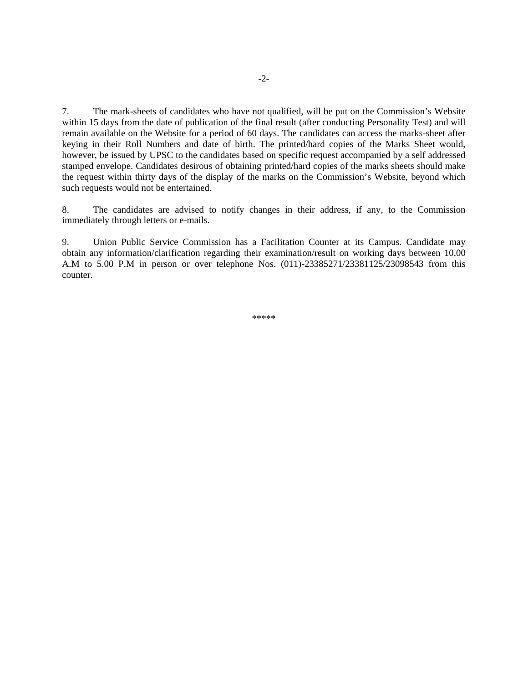7. The mark-sheets of candidates who have not qualified, will be put on the Commission's Website within 15 days from the date of publication of the final result (after conducting Personality Test) and will remain available on the Website for a period of 60 days. The candidates can access the marks-sheet after keying in their Roll Numbers and date of birth. The printed/hard copies of the Marks Sheet would, however, be issued by UPSC to the candidates based on specific request accompanied by a self addressed stamped envelope. Candidates desirous of obtaining printed/hard copies of the marks sheets should make the request within thirty days of the display of the marks on the Commission's Website, beyond which such requests would not be entertained.

8. The candidates are advised to notify changes in their address, if any, to the Commission immediately through letters or e-mails.

9. Union Public Service Commission has a Facilitation Counter at its Campus. Candidate may obtain any information/clarification regarding their examination/result on working days between 10.00 A.M to 5.00 P.M in person or over telephone Nos. (011)-23385271/23381125/23098543 from this counter.

\*\*\*\*\*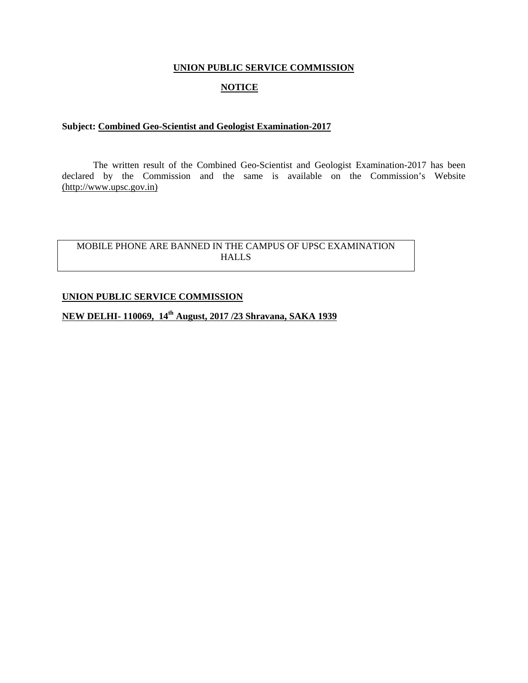## **UNION PUBLIC SERVICE COMMISSION**

# **NOTICE**

## **Subject: Combined Geo-Scientist and Geologist Examination-2017**

 The written result of the Combined Geo-Scientist and Geologist Examination-2017 has been declared by the Commission and the same is available on the Commission's Website (http://www.upsc.gov.in)

# MOBILE PHONE ARE BANNED IN THE CAMPUS OF UPSC EXAMINATION HALLS

## **UNION PUBLIC SERVICE COMMISSION**

# **NEW DELHI- 110069, 14th August, 2017 /23 Shravana, SAKA 1939**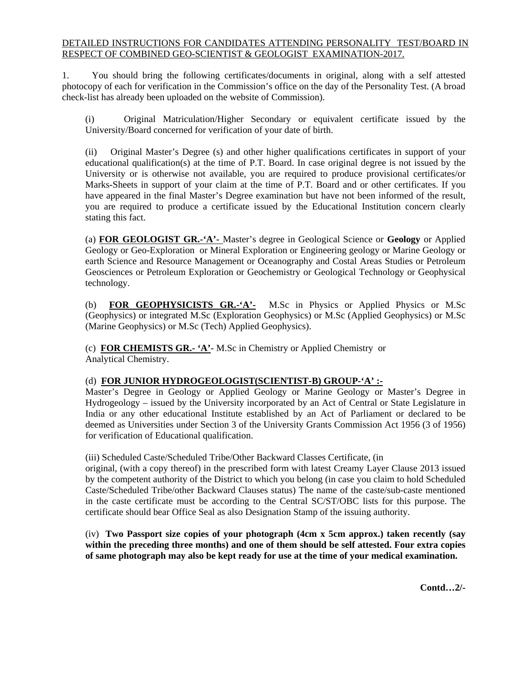# DETAILED INSTRUCTIONS FOR CANDIDATES ATTENDING PERSONALITY TEST/BOARD IN RESPECT OF COMBINED GEO-SCIENTIST & GEOLOGIST EXAMINATION-2017.

1. You should bring the following certificates/documents in original, along with a self attested photocopy of each for verification in the Commission's office on the day of the Personality Test. (A broad check-list has already been uploaded on the website of Commission).

(i) Original Matriculation/Higher Secondary or equivalent certificate issued by the University/Board concerned for verification of your date of birth.

(ii) Original Master's Degree (s) and other higher qualifications certificates in support of your educational qualification(s) at the time of P.T. Board. In case original degree is not issued by the University or is otherwise not available, you are required to produce provisional certificates/or Marks-Sheets in support of your claim at the time of P.T. Board and or other certificates. If you have appeared in the final Master's Degree examination but have not been informed of the result, you are required to produce a certificate issued by the Educational Institution concern clearly stating this fact.

(a) **FOR GEOLOGIST GR.-'A'-** Master's degree in Geological Science or **Geology** or Applied Geology or Geo-Exploration or Mineral Exploration or Engineering geology or Marine Geology or earth Science and Resource Management or Oceanography and Costal Areas Studies or Petroleum Geosciences or Petroleum Exploration or Geochemistry or Geological Technology or Geophysical technology.

(b) **FOR GEOPHYSICISTS GR.-'A'-** M.Sc in Physics or Applied Physics or M.Sc (Geophysics) or integrated M.Sc (Exploration Geophysics) or M.Sc (Applied Geophysics) or M.Sc (Marine Geophysics) or M.Sc (Tech) Applied Geophysics).

(c) **FOR CHEMISTS GR.- 'A'**- M.Sc in Chemistry or Applied Chemistry or Analytical Chemistry.

# (d) **FOR JUNIOR HYDROGEOLOGIST(SCIENTIST-B) GROUP-'A' :-**

Master's Degree in Geology or Applied Geology or Marine Geology or Master's Degree in Hydrogeology – issued by the University incorporated by an Act of Central or State Legislature in India or any other educational Institute established by an Act of Parliament or declared to be deemed as Universities under Section 3 of the University Grants Commission Act 1956 (3 of 1956) for verification of Educational qualification.

(iii) Scheduled Caste/Scheduled Tribe/Other Backward Classes Certificate, (in

original, (with a copy thereof) in the prescribed form with latest Creamy Layer Clause 2013 issued by the competent authority of the District to which you belong (in case you claim to hold Scheduled Caste/Scheduled Tribe/other Backward Clauses status) The name of the caste/sub-caste mentioned in the caste certificate must be according to the Central SC/ST/OBC lists for this purpose. The certificate should bear Office Seal as also Designation Stamp of the issuing authority.

(iv) **Two Passport size copies of your photograph (4cm x 5cm approx.) taken recently (say within the preceding three months) and one of them should be self attested. Four extra copies of same photograph may also be kept ready for use at the time of your medical examination.**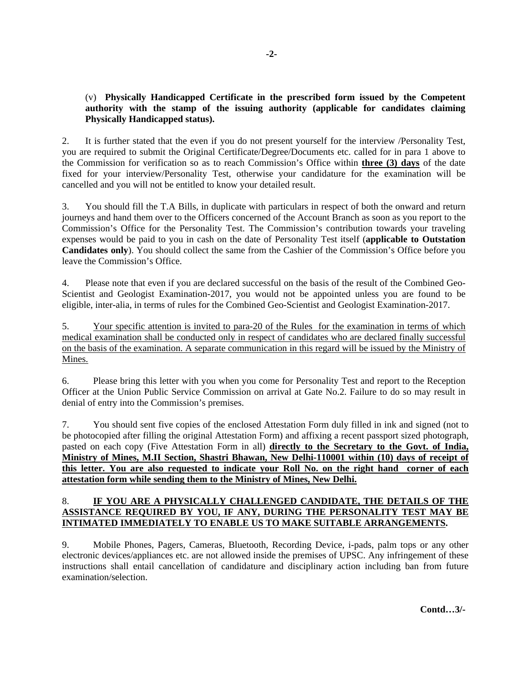# (v) **Physically Handicapped Certificate in the prescribed form issued by the Competent authority with the stamp of the issuing authority (applicable for candidates claiming Physically Handicapped status).**

2.It is further stated that the even if you do not present yourself for the interview /Personality Test, you are required to submit the Original Certificate/Degree/Documents etc. called for in para 1 above to the Commission for verification so as to reach Commission's Office within **three (3) days** of the date fixed for your interview/Personality Test, otherwise your candidature for the examination will be cancelled and you will not be entitled to know your detailed result.

3. You should fill the T.A Bills, in duplicate with particulars in respect of both the onward and return journeys and hand them over to the Officers concerned of the Account Branch as soon as you report to the Commission's Office for the Personality Test. The Commission's contribution towards your traveling expenses would be paid to you in cash on the date of Personality Test itself (**applicable to Outstation Candidates only**). You should collect the same from the Cashier of the Commission's Office before you leave the Commission's Office.

4. Please note that even if you are declared successful on the basis of the result of the Combined Geo-Scientist and Geologist Examination-2017, you would not be appointed unless you are found to be eligible, inter-alia, in terms of rules for the Combined Geo-Scientist and Geologist Examination-2017.

5. Your specific attention is invited to para-20 of the Rules for the examination in terms of which medical examination shall be conducted only in respect of candidates who are declared finally successful on the basis of the examination. A separate communication in this regard will be issued by the Ministry of Mines.

6. Please bring this letter with you when you come for Personality Test and report to the Reception Officer at the Union Public Service Commission on arrival at Gate No.2. Failure to do so may result in denial of entry into the Commission's premises.

7. You should sent five copies of the enclosed Attestation Form duly filled in ink and signed (not to be photocopied after filling the original Attestation Form) and affixing a recent passport sized photograph, pasted on each copy (Five Attestation Form in all) **directly to the Secretary to the Govt. of India, Ministry of Mines, M.II Section, Shastri Bhawan, New Delhi-110001 within (10) days of receipt of this letter. You are also requested to indicate your Roll No. on the right hand corner of each attestation form while sending them to the Ministry of Mines, New Delhi.** 

# 8. **IF YOU ARE A PHYSICALLY CHALLENGED CANDIDATE, THE DETAILS OF THE ASSISTANCE REQUIRED BY YOU, IF ANY, DURING THE PERSONALITY TEST MAY BE INTIMATED IMMEDIATELY TO ENABLE US TO MAKE SUITABLE ARRANGEMENTS.**

9. Mobile Phones, Pagers, Cameras, Bluetooth, Recording Device, i-pads, palm tops or any other electronic devices/appliances etc. are not allowed inside the premises of UPSC. Any infringement of these instructions shall entail cancellation of candidature and disciplinary action including ban from future examination/selection.

**Contd…3/-**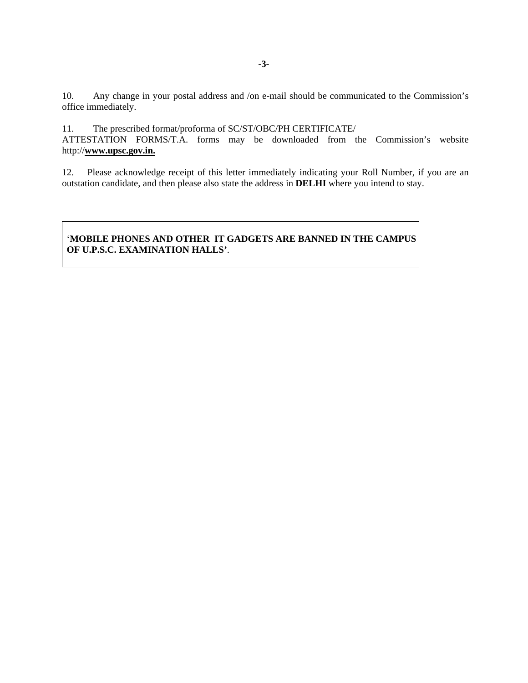10. Any change in your postal address and /on e-mail should be communicated to the Commission's office immediately.

11. The prescribed format/proforma of SC/ST/OBC/PH CERTIFICATE/

ATTESTATION FORMS/T.A. forms may be downloaded from the Commission's website http://**www.upsc.gov.in.**

12. Please acknowledge receipt of this letter immediately indicating your Roll Number, if you are an outstation candidate, and then please also state the address in **DELHI** where you intend to stay.

# '**MOBILE PHONES AND OTHER IT GADGETS ARE BANNED IN THE CAMPUS OF U.P.S.C. EXAMINATION HALLS'**.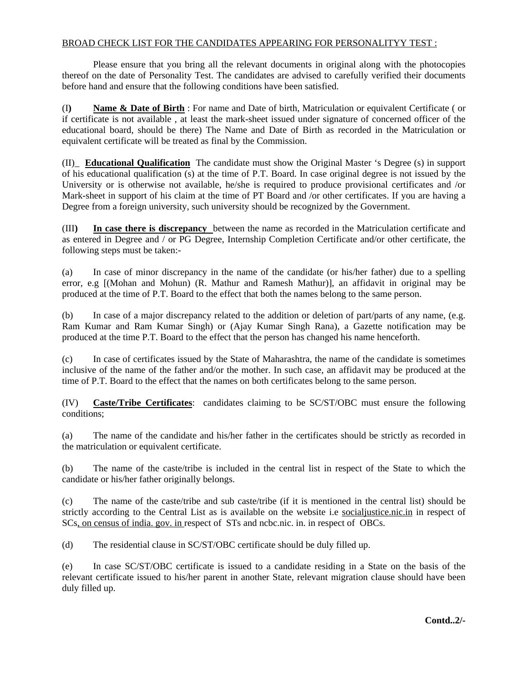# BROAD CHECK LIST FOR THE CANDIDATES APPEARING FOR PERSONALITYY TEST :

 Please ensure that you bring all the relevant documents in original along with the photocopies thereof on the date of Personality Test. The candidates are advised to carefully verified their documents before hand and ensure that the following conditions have been satisfied.

(I**) Name & Date of Birth** : For name and Date of birth, Matriculation or equivalent Certificate ( or if certificate is not available , at least the mark-sheet issued under signature of concerned officer of the educational board, should be there) The Name and Date of Birth as recorded in the Matriculation or equivalent certificate will be treated as final by the Commission.

(II)\_ **Educational Qualification** The candidate must show the Original Master 's Degree (s) in support of his educational qualification (s) at the time of P.T. Board. In case original degree is not issued by the University or is otherwise not available, he/she is required to produce provisional certificates and /or Mark-sheet in support of his claim at the time of PT Board and /or other certificates. If you are having a Degree from a foreign university, such university should be recognized by the Government.

(III**) In case there is discrepancy** between the name as recorded in the Matriculation certificate and as entered in Degree and / or PG Degree, Internship Completion Certificate and/or other certificate, the following steps must be taken:-

(a) In case of minor discrepancy in the name of the candidate (or his/her father) due to a spelling error, e.g [(Mohan and Mohun) (R. Mathur and Ramesh Mathur)], an affidavit in original may be produced at the time of P.T. Board to the effect that both the names belong to the same person.

(b) In case of a major discrepancy related to the addition or deletion of part/parts of any name, (e.g. Ram Kumar and Ram Kumar Singh) or (Ajay Kumar Singh Rana), a Gazette notification may be produced at the time P.T. Board to the effect that the person has changed his name henceforth.

(c) In case of certificates issued by the State of Maharashtra, the name of the candidate is sometimes inclusive of the name of the father and/or the mother. In such case, an affidavit may be produced at the time of P.T. Board to the effect that the names on both certificates belong to the same person.

(IV) **Caste/Tribe Certificates**: candidates claiming to be SC/ST/OBC must ensure the following conditions;

(a) The name of the candidate and his/her father in the certificates should be strictly as recorded in the matriculation or equivalent certificate.

(b) The name of the caste/tribe is included in the central list in respect of the State to which the candidate or his/her father originally belongs.

(c) The name of the caste/tribe and sub caste/tribe (if it is mentioned in the central list) should be strictly according to the Central List as is available on the website i.e socialjustice.nic.in in respect of SCs, on census of india. gov. in respect of STs and ncbc.nic. in. in respect of OBCs.

(d) The residential clause in SC/ST/OBC certificate should be duly filled up.

(e) In case SC/ST/OBC certificate is issued to a candidate residing in a State on the basis of the relevant certificate issued to his/her parent in another State, relevant migration clause should have been duly filled up.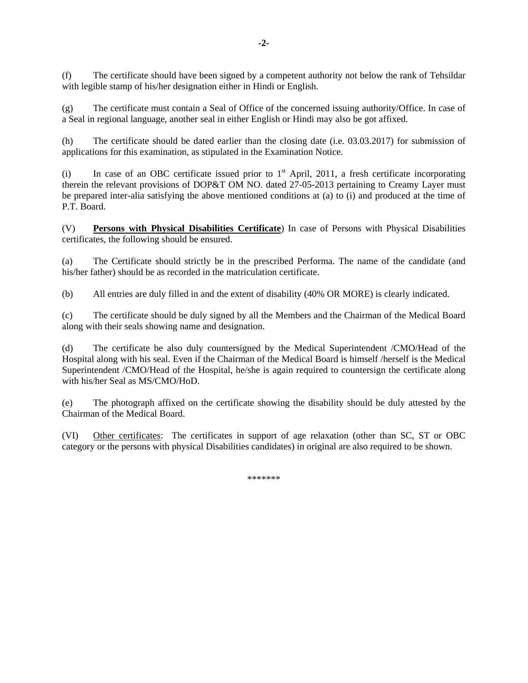(f) The certificate should have been signed by a competent authority not below the rank of Tehsildar with legible stamp of his/her designation either in Hindi or English.

(g) The certificate must contain a Seal of Office of the concerned issuing authority/Office. In case of a Seal in regional language, another seal in either English or Hindi may also be got affixed.

(h) The certificate should be dated earlier than the closing date (i.e. 03.03.2017) for submission of applications for this examination, as stipulated in the Examination Notice.

(i) In case of an OBC certificate issued prior to  $1<sup>st</sup>$  April, 2011, a fresh certificate incorporating therein the relevant provisions of DOP&T OM NO. dated 27-05-2013 pertaining to Creamy Layer must be prepared inter-alia satisfying the above mentioned conditions at (a) to (i) and produced at the time of P.T. Board.

(V) **Persons with Physical Disabilities Certificate**) In case of Persons with Physical Disabilities certificates, the following should be ensured.

(a) The Certificate should strictly be in the prescribed Performa. The name of the candidate (and his/her father) should be as recorded in the matriculation certificate.

(b) All entries are duly filled in and the extent of disability (40% OR MORE) is clearly indicated.

(c) The certificate should be duly signed by all the Members and the Chairman of the Medical Board along with their seals showing name and designation.

(d) The certificate be also duly countersigned by the Medical Superintendent /CMO/Head of the Hospital along with his seal. Even if the Chairman of the Medical Board is himself /herself is the Medical Superintendent /CMO/Head of the Hospital, he/she is again required to countersign the certificate along with his/her Seal as MS/CMO/HoD.

(e) The photograph affixed on the certificate showing the disability should be duly attested by the Chairman of the Medical Board.

(VI) Other certificates: The certificates in support of age relaxation (other than SC, ST or OBC category or the persons with physical Disabilities candidates) in original are also required to be shown.

\*\*\*\*\*\*\*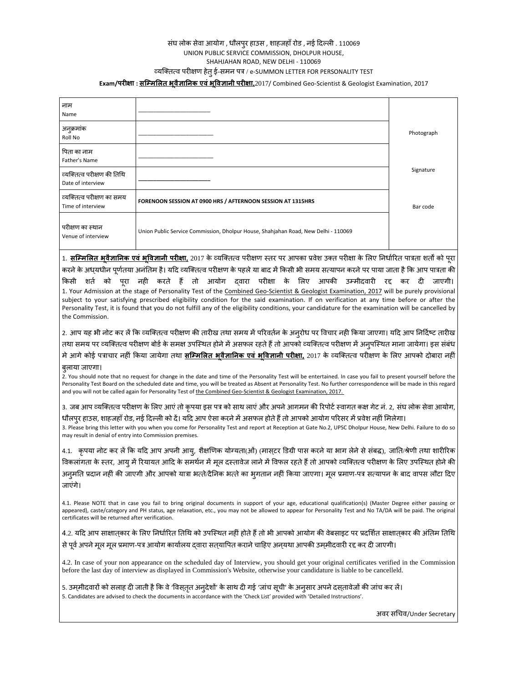#### संघ लोक सेवा आयोग , धौलपुर हाउस , शाहजहाँ रोड , नई दिल्ली . 110069 UNION PUBLIC SERVICE COMMISSION, DHOLPUR HOUSE, SHAHJAHAN ROAD, NEW DELHI ‐ 110069 åयिक्त×व परीक्षण हेतुई-समन पत्र / e‐SUMMON LETTER FOR PERSONALITY TEST

#### **Exam/परीक्षा : सिàमिलत भू वैज्ञािनक एवंभूिवज्ञानी परीक्षा,**2017/ Combined Geo‐Scientist & Geologist Examination, 2017

| नाम<br>Name                                     |                                                                                                                                                                                                                                                                                                             |            |
|-------------------------------------------------|-------------------------------------------------------------------------------------------------------------------------------------------------------------------------------------------------------------------------------------------------------------------------------------------------------------|------------|
| अनुक्रमांक<br>Roll No                           |                                                                                                                                                                                                                                                                                                             | Photograph |
| पिता का नाम<br>Father's Name                    |                                                                                                                                                                                                                                                                                                             |            |
| व्यक्तित्व परीक्षण की तिथि<br>Date of interview |                                                                                                                                                                                                                                                                                                             | Signature  |
| व्यक्तित्व परीक्षण का समय<br>Time of interview  | FORENOON SESSION AT 0900 HRS / AFTERNOON SESSION AT 1315HRS                                                                                                                                                                                                                                                 | Bar code   |
| परीक्षण का स्थान<br>Venue of interview          | Union Public Service Commission, Dholpur House, Shahjahan Road, New Delhi - 110069                                                                                                                                                                                                                          |            |
|                                                 | 1. <mark>सम्मिलित भुवैज्ञानिक एवं भूविज्ञानी परीक्षा.</mark> 2017 के व्यक्तित्व परीक्षण स्तर पर आपका प्रवेश उक्त परीक्षा के लिए निर्धारित पात्रता शर्तों को पूरा<br>करने के अध्यधीन पूर्णतया अनंतिम है। यदि व्यक्तित्व परीक्षण के पहले या बाद में किसी भी समय सत्यापन करने पर पाया जाता है कि आप पात्रता की |            |

किसी शते को पूरा नहीं करते हैं तो आयोग दवारा परीक्षा के लिए आपकी उम्मीदवारी रद्द कर दी जाएगी। 1. Your Admission at the stage of Personality Test of the Combined Geo‐Scientist & Geologist Examination, 2017 will be purely provisional subject to your satisfying prescribed eligibility condition for the said examination. If on verification at any time before or after the Personality Test, it is found that you do not fulfill any of the eligibility conditions, your candidature for the examination will be cancelled by the Commission.

2. आप यह भी नोट कर ले कि व्यक्तित्व परीक्षण की तारीख तथा समय में परिवर्तन के अनुरोध पर विचार नहीं किया जाएगा। यदि आप निर्दिष्ट तारीख तथा समय पर व्यक्तित्व परीक्षण बोर्ड के समक्ष उपस्थित होने मे असफल रहते है तो आपको व्यक्तित्व परीक्षण मे अनुपस्थित माना जायेगा। इस संबंध मेआगेकोई पत्राचार नहीं िकया जायेगा तथा **सिàमिलत भू वैज्ञािनक एवं भूिवज्ञानी परीक्षा,** 2017 के åयिक्त×व परीक्षण के िलए आपको दोबारा नहीं

#### बु लाया जाएगा।

2. You should note that no request for change in the date and time of the Personality Test will be entertained. In case you fail to present yourself before the Personality Test Board on the scheduled date and time, you will be treated as Absent at Personality Test. No further correspondence will be made in this regard and you will not be called again for Personality Test of the Combined Geo-Scientist & Geologist Examination, 2017.

3. जब आप व्यक्तित्व परीक्षण के लिए आएं तो कृपया इस पत्र को साथ लाएं और अपने आगमन की रिपोर्ट स्वागत कक्ष गेट नं. 2, संघ लोक सेवा आयोग, धौलपुर हाउस, शाहजहाँ रोड, नई दिल्ली को दे। यदि आप ऐसा करने मे असफल होते है तो आपको आयोग परिसर मे प्रवेश नहीं मिलेगा।

3. Please bring this letter with you when you come for Personality Test and report at Reception at Gate No.2, UPSC Dholpur House, New Delhi. Failure to do so may result in denial of entry into Commission premises.

4.1. कृपया नोट कर लें कि यदि आप अपनी आयु, शैक्षणिक योग्यता(ओं) (मास्टर डिग्री पास करने या भाग लेने से संबद्घ), जाति/श्रेणी तथा शारीरिक विकलागता के स्तर, आयु में रियायत आदि के समथेन मे मूल दस्तावेज लाने में विफल रहते है तो आपको व्यक्तित्व परीक्षण के लिए उपस्थित होने की अनुमति प्रदान नहीं की जाएगी और आपको यात्रा भत्ते/दैनिक भत्ते का भुगतान नहीं किया जाएगा। मूल प्रमाण-पत्र सत्यापन के बाद वापस लौटा दिए जाएंगे।

4.1. Please NOTE that in case you fail to bring original documents in support of your age, educational qualification(s) (Master Degree either passing or appeared), caste/category and PH status, age relaxation, etc., you may not be allowed to appear for Personality Test and No TA/DA will be paid. The original certificates will be returned after verification.

4.2. यदि आप साक्षातकार के लिए निर्धारित तिथि को उपस्थित नहीं होते हैं तो भी आपको आयोग की वेबसाइट पर प्रदर्शित साक्षातकार की अंतिम तिथि से पूर्व अपने मूल मूल प्रमाण-पत्र आयोग कार्यालय दवारा सत्यापित कराने चाहिए अन्यथा आपकी उम्मीदवारी रद्द कर दी जाएगी।

4.2. In case of your non appearance on the scheduled day of Interview, you should get your original certificates verified in the Commission before the last day of interview as displayed in Commission's Website, otherwise your candidature is liable to be cancelleld.

5. उम्मीदवारों को सलाह दी जाती है कि वे 'विस्तृत अनुदेशो' के साथ दी गई 'जाच सूची' के अनुसार अपने दस्तावेजों की जाच कर ले। 5. Candidates are advised to check the documents in accordance with the 'Check List' provided with 'Detailed Instructions'.

अवर सिचव/Under Secretary